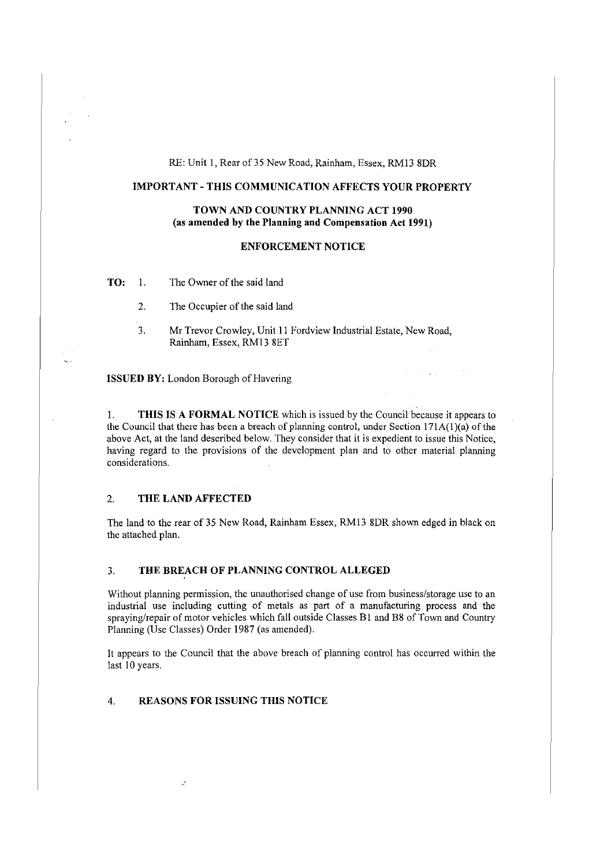RE: Unit 1, Rear of 35 New Road, Rainham, Essex, RM13 8DR

## **IMPORTANT - THIS COMMUNICATION AFFECTS YOUR PROPERTY**

# **TOWN AND COUNTRY PLANNING ACT 1990** (as **amended by the Planning and Compensation Act 1991)**

## **ENFORCEMENT NOTICE**

**TO:** 1. The Owner of the said land

2. The Occupier of the said land

3. Mr Trevor Crowley, Unit 11 Fordview Industrial Estate, New Road, Rainham, Essex, RM13 SET

**ISSUED BY:** London Borough of Havering

I. **THIS IS A FORMAL NOTICE** which is issued by the Council because it appears to the Council that there has been a breach of planning control, under Section  $171A(1)(a)$  of the above Act, at the land described below. They consider that it is expedient to issue this Notice, having regard to the provisions of the development plan and to other material planning considerations.

#### 2. **THE LAND AFFECTED**

The land to the rear of 35 New Road, Rainham Essex, RM13 8DR shown edged in black on the attached plan.

## 3. **THE BREACH OF PLANNING CONTROL ALLEGED**

Without planning permission, the unauthorised change of use from business/storage use to an industrial use including cutting of metals as part of a manufacturing process and the spraying/repair of motor vehicles which fall outside Classes BI and B8 of Town and Country Planning (Use Classes) Order 1987 (as amended).

It appears to the Council that the above breach of planning control has occurred within the last 10 years.

# 4. **REASONS FOR ISSUING THIS NOTICE**

 $\mathcal{L}$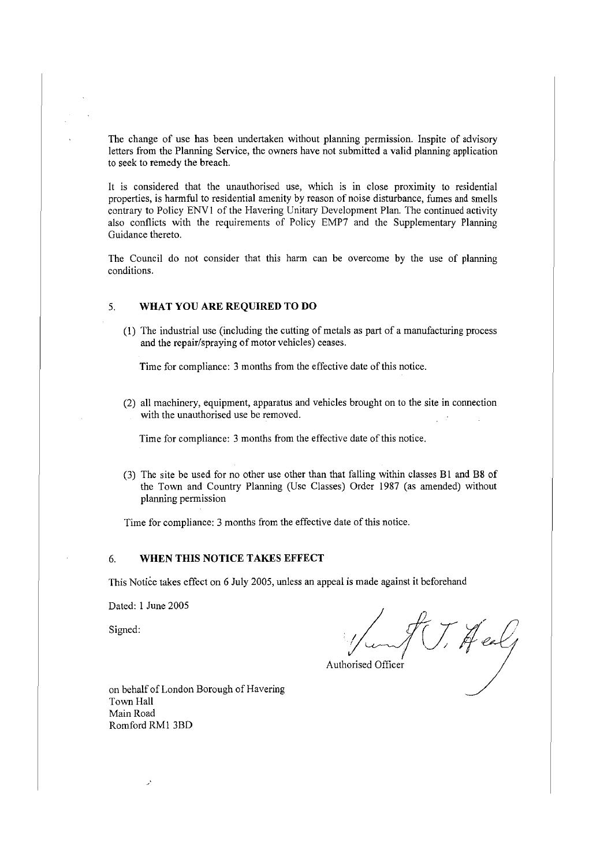The change of use has been undertaken without planning permission. Inspite of advisory letters from the Planning Service, the owners have not submitted a valid planning application to seek to remedy the breach.

It is considered that the unauthorised use, which is in close proximity to residential properties, is harmful to residential amenity by reason of noise disturbance, fumes and smells contrary to Policy ENVI of the Havering Unitary Development Plan. The continued activity also conflicts with the requirements of Policy EMP7 and the Supplementary Planning Guidance thereto.

The Council do not consider that this harm can be overcome by the use of planning conditions.

#### 5. **WHAT YOU ARE REQUIRED TO DO**

(1) The industrial use (including the cutting of metals as part of a manufacturing process and the repair/spraying of motor vehicles) ceases.

Time for compliance: 3 months from the effective date of this notice.

(2) all machinery, equipment, apparatus and vehicles brought on to the site in connection with the unauthorised use be removed.

Time for compliance: 3 months from the effective date of this notice.

(3) The site be used for no other use other than that falling within classes BI and B8 of the Town and Country Planning (Use Classes) Order 1987 (as amended) without planning permission

Time for compliance: 3 months from the effective date of this notice.

# 6. **WHEN THIS NOTICE TAKES EFFECT**

This Notice takes effect on 6 July 2005, unless an appeal is made against it beforehand

Dated: I June 2005

,•

Signed:

 $7, 4$  eal,

Authorised Officer

on behalf of London Borough of Havering Town Hall Main Road Romford RMI 3BD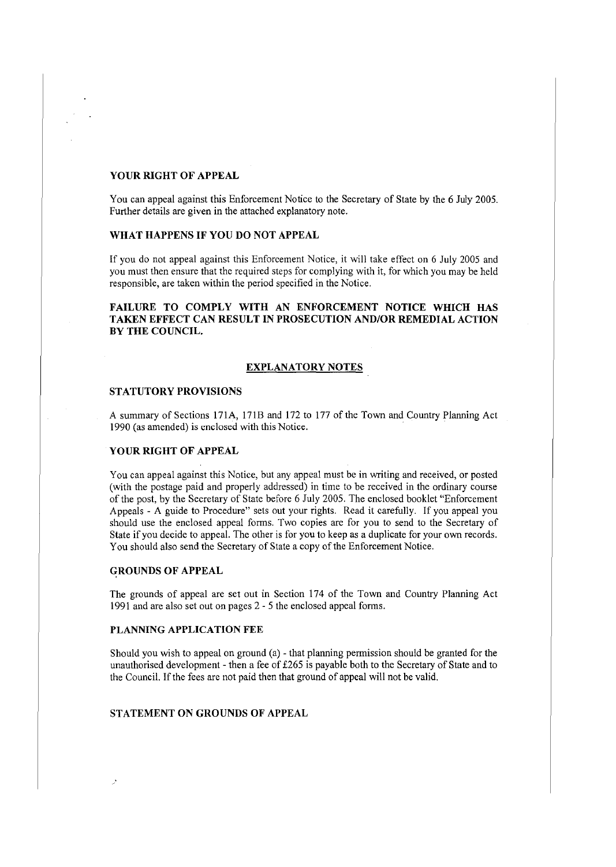## **YOUR RIGHT OF APPEAL**

You can appeal against this Enforcement Notice to the Secretary of State by the 6 July 2005. Further details are given in the attached explanatory note.

## **WHAT HAPPENS IF YOU DO NOT APPEAL**

If you do not appeal against this Enforcement Notice, it will take effect on 6 July 2005 and you must then ensure that the required steps for complying with it, for which you may be held responsible, are taken within the period specified in the Notice.

## **FAILURE TO COMPLY WITH AN ENFORCEMENT NOTICE WHICH HAS TAKEN EFFECT CAN RESULT IN PROSECUTION AND/OR REMEDIAL ACTION BY THE COUNCIL.**

#### **EXPLANATORY NOTES**

## **STATUTORY PROVISIONS**

A summary of Sections l 71A, l 71B and 172 to 177 of the Town and Country Planning Act 1990 (as amended) is enclosed with this Notice.

## **YOUR RIGHT OF APPEAL**

You can appeal against this Notice, but any appeal must be in writing and received, or posted (with the postage paid and properly addressed) in time to be received in the ordinary course of the post, by the Secretary of State before 6 July 2005. The enclosed booklet "Enforcement Appeals - A guide to Procedure" sets out your rights. Read it carefully. If you appeal you should use the enclosed appeal forms. Two copies are for you to send to the Secretary of State if you decide to appeal. The other is for you to keep as a duplicate for your own records. You should also send the Secretary of State a copy of the Enforcement Notice.

#### **GROUNDS OF APPEAL**

The grounds of appeal are set out in Section 174 of the Town and Country Planning Act 1991 and are also set out on pages 2 - 5 the enclosed appeal forms.

## **PLANNING APPLICATION FEE**

Should you wish to appeal on ground (a) - that planning permission should be granted for the unauthorised development - then a fee of £265 is payable both to the Secretary of State and to the Council. If the fees are not paid then that ground of appeal will not be valid.

# **STATEMENT ON GROUNDS OF APPEAL**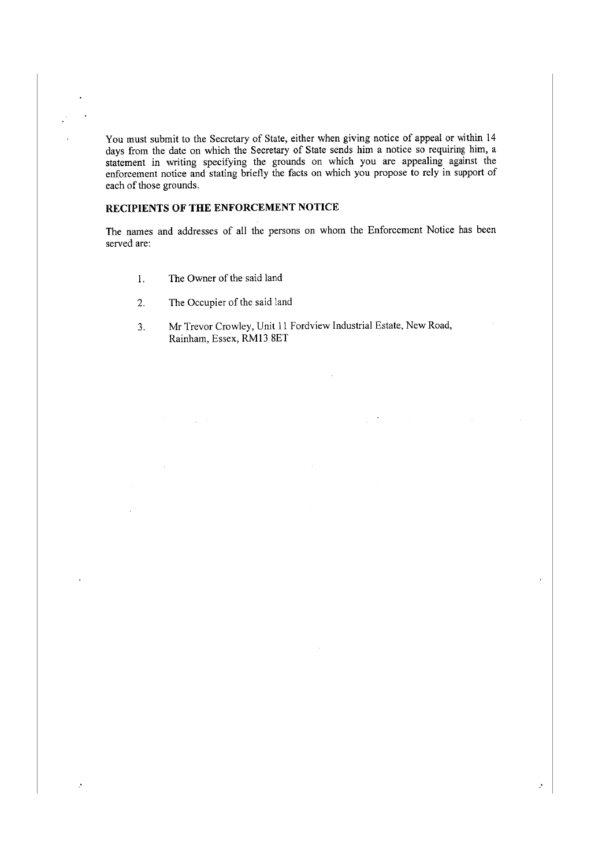You must submit to the Secretary of State, either when giving notice of appeal or within 14 days from the date on which the Secretary of State sends him a notice so requiring him, a statement in writing specifying the grounds on which you are appealing against the enforcement notice and stating briefly the facts on which you propose to rely in support of each of those grounds.

# **RECIPIENTS OF THE ENFORCEMENT NOTICE**

The names and addresses of all the persons on whom the Enforcement Notice has been served are:

- 1. The Owner of the said land
- 2. The Occupier of the said land
- 3. Mr Trevor Crowley, Unit 11 Fordview Industrial Estate, New Road, Rainham, Essex, RM13 SET